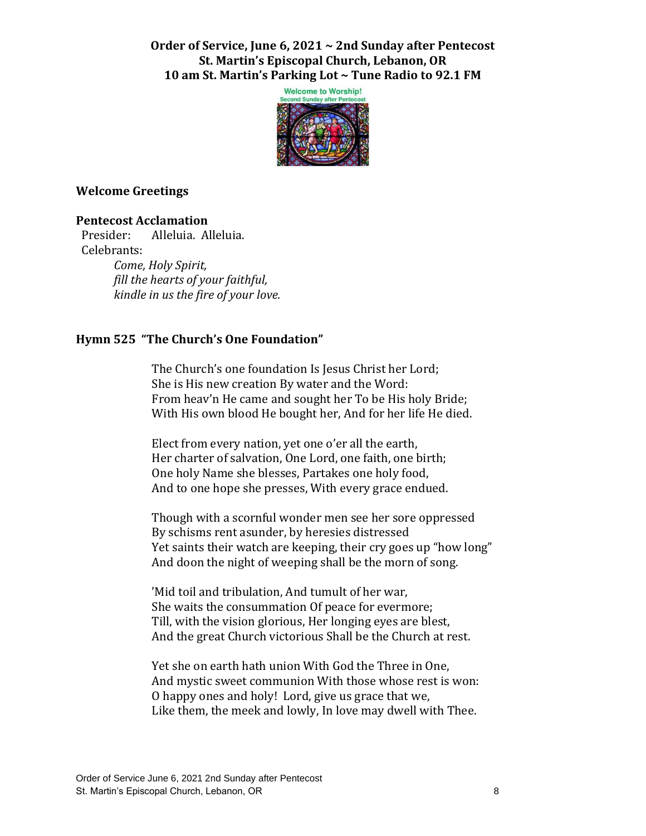**Order of Service, June 6, 2021 ~ 2nd Sunday after Pentecost St. Martin's Episcopal Church, Lebanon, OR 10 am St. Martin's Parking Lot ~ Tune Radio to 92.1 FM**



### **Welcome Greetings**

### **Pentecost Acclamation**

 Presider: Alleluia. Alleluia. Celebrants:

> *Come, Holy Spirit, fill the hearts of your faithful, kindle in us the fire of your love.*

## **Hymn 525 "The Church's One Foundation"**

The Church's one foundation Is Jesus Christ her Lord; She is His new creation By water and the Word: From heav'n He came and sought her To be His holy Bride; With His own blood He bought her, And for her life He died.

Elect from every nation, yet one o'er all the earth, Her charter of salvation, One Lord, one faith, one birth; One holy Name she blesses, Partakes one holy food, And to one hope she presses, With every grace endued.

Though with a scornful wonder men see her sore oppressed By schisms rent asunder, by heresies distressed Yet saints their watch are keeping, their cry goes up "how long" And doon the night of weeping shall be the morn of song.

'Mid toil and tribulation, And tumult of her war, She waits the consummation Of peace for evermore; Till, with the vision glorious, Her longing eyes are blest, And the great Church victorious Shall be the Church at rest.

Yet she on earth hath union With God the Three in One, And mystic sweet communion With those whose rest is won: O happy ones and holy! Lord, give us grace that we, Like them, the meek and lowly, In love may dwell with Thee.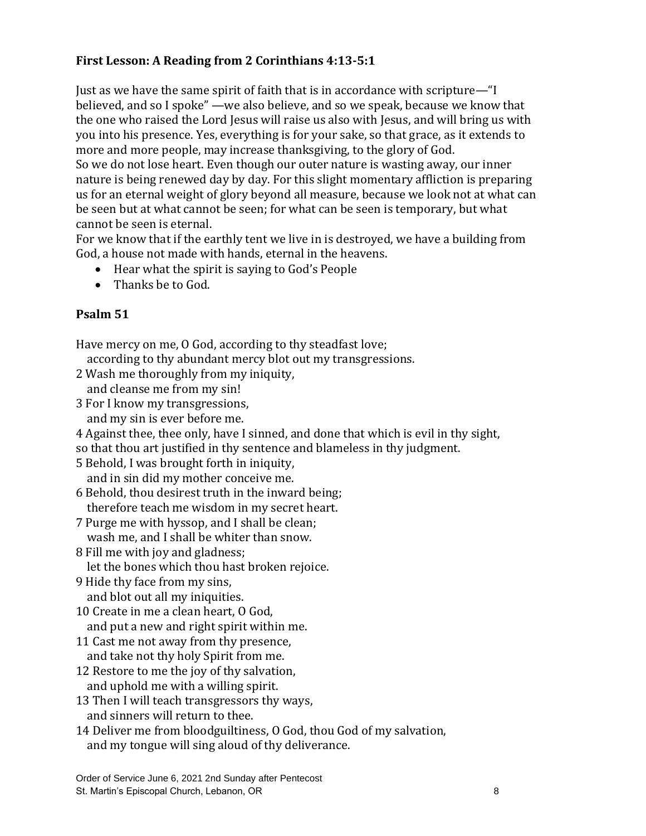# **First Lesson: A Reading from 2 Corinthians 4:13-5:1**

Just as we have the same spirit of faith that is in accordance with scripture—"I believed, and so I spoke" —we also believe, and so we speak, because we know that the one who raised the Lord Jesus will raise us also with Jesus, and will bring us with you into his presence. Yes, everything is for your sake, so that grace, as it extends to more and more people, may increase thanksgiving, to the glory of God.

So we do not lose heart. Even though our outer nature is wasting away, our inner nature is being renewed day by day. For this slight momentary affliction is preparing us for an eternal weight of glory beyond all measure, because we look not at what can be seen but at what cannot be seen; for what can be seen is temporary, but what cannot be seen is eternal.

For we know that if the earthly tent we live in is destroyed, we have a building from God, a house not made with hands, eternal in the heavens.

- Hear what the spirit is saying to God's People
- Thanks be to God.

# **Psalm 51**

Have mercy on me, O God, according to thy steadfast love;

according to thy abundant mercy blot out my transgressions.

- 2 Wash me thoroughly from my iniquity,
- and cleanse me from my sin!
- 3 For I know my transgressions,
	- and my sin is ever before me.

4 Against thee, thee only, have I sinned, and done that which is evil in thy sight,

so that thou art justified in thy sentence and blameless in thy judgment.

5 Behold, I was brought forth in iniquity,

and in sin did my mother conceive me.

6 Behold, thou desirest truth in the inward being; therefore teach me wisdom in my secret heart.

- 7 Purge me with hyssop, and I shall be clean; wash me, and I shall be whiter than snow.
- 8 Fill me with joy and gladness;

let the bones which thou hast broken rejoice.

- 9 Hide thy face from my sins, and blot out all my iniquities.
- 10 Create in me a clean heart, O God, and put a new and right spirit within me.
- 11 Cast me not away from thy presence, and take not thy holy Spirit from me.
- 12 Restore to me the joy of thy salvation, and uphold me with a willing spirit.
- 13 Then I will teach transgressors thy ways, and sinners will return to thee.
- 14 Deliver me from bloodguiltiness, O God, thou God of my salvation, and my tongue will sing aloud of thy deliverance.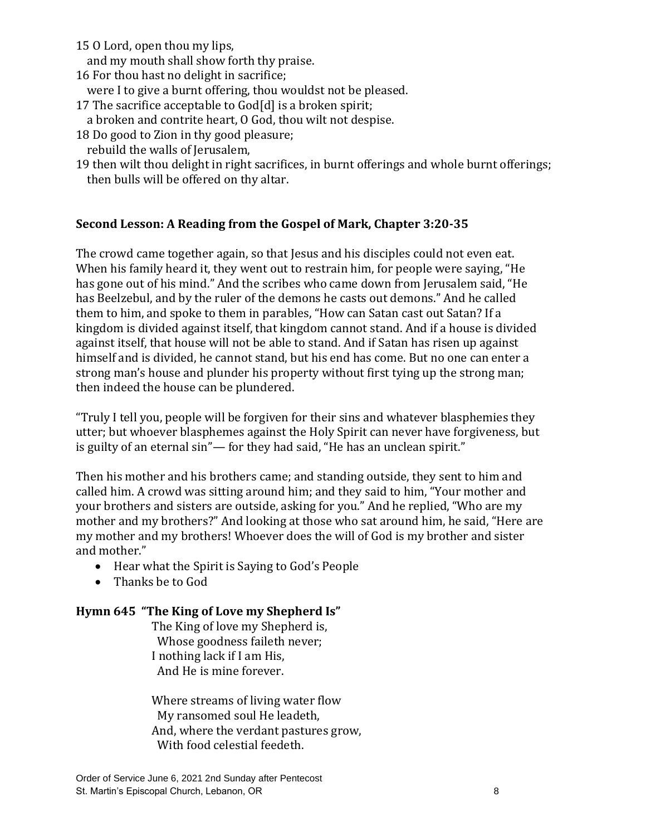15 O Lord, open thou my lips,

and my mouth shall show forth thy praise.

16 For thou hast no delight in sacrifice;

were I to give a burnt offering, thou wouldst not be pleased.

- 17 The sacrifice acceptable to God[d] is a broken spirit;
- a broken and contrite heart, O God, thou wilt not despise.
- 18 Do good to Zion in thy good pleasure;
- rebuild the walls of Jerusalem,
- 19 then wilt thou delight in right sacrifices, in burnt offerings and whole burnt offerings; then bulls will be offered on thy altar.

# **Second Lesson: A Reading from the Gospel of Mark, Chapter 3:20-35**

The crowd came together again, so that Jesus and his disciples could not even eat. When his family heard it, they went out to restrain him, for people were saying, "He has gone out of his mind." And the scribes who came down from Jerusalem said, "He has Beelzebul, and by the ruler of the demons he casts out demons." And he called them to him, and spoke to them in parables, "How can Satan cast out Satan? If a kingdom is divided against itself, that kingdom cannot stand. And if a house is divided against itself, that house will not be able to stand. And if Satan has risen up against himself and is divided, he cannot stand, but his end has come. But no one can enter a strong man's house and plunder his property without first tying up the strong man; then indeed the house can be plundered.

"Truly I tell you, people will be forgiven for their sins and whatever blasphemies they utter; but whoever blasphemes against the Holy Spirit can never have forgiveness, but is guilty of an eternal sin"— for they had said, "He has an unclean spirit."

Then his mother and his brothers came; and standing outside, they sent to him and called him. A crowd was sitting around him; and they said to him, "Your mother and your brothers and sisters are outside, asking for you." And he replied, "Who are my mother and my brothers?" And looking at those who sat around him, he said, "Here are my mother and my brothers! Whoever does the will of God is my brother and sister and mother."

- Hear what the Spirit is Saying to God's People
- Thanks be to God

## **Hymn 645 "The King of Love my Shepherd Is"**

The King of love my Shepherd is, Whose goodness faileth never; I nothing lack if I am His, And He is mine forever.

Where streams of living water flow My ransomed soul He leadeth, And, where the verdant pastures grow, With food celestial feedeth.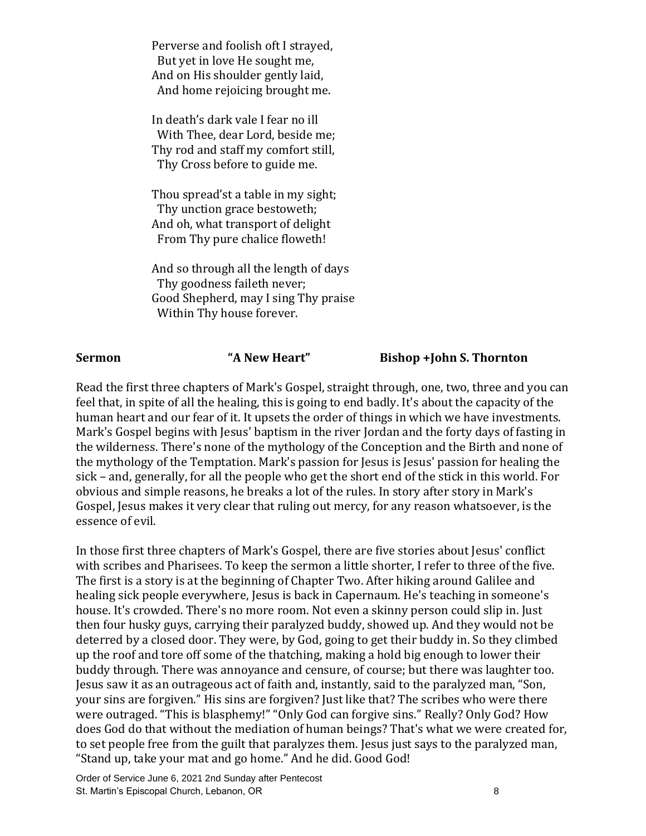Perverse and foolish oft I strayed, But yet in love He sought me, And on His shoulder gently laid, And home rejoicing brought me.

In death's dark vale I fear no ill With Thee, dear Lord, beside me; Thy rod and staff my comfort still, Thy Cross before to guide me.

Thou spread'st a table in my sight; Thy unction grace bestoweth; And oh, what transport of delight From Thy pure chalice floweth!

And so through all the length of days Thy goodness faileth never; Good Shepherd, may I sing Thy praise Within Thy house forever.

### **Sermon "A New Heart" Bishop +John S. Thornton**

Read the first three chapters of Mark's Gospel, straight through, one, two, three and you can feel that, in spite of all the healing, this is going to end badly. It's about the capacity of the human heart and our fear of it. It upsets the order of things in which we have investments. Mark's Gospel begins with Jesus' baptism in the river Jordan and the forty days of fasting in the wilderness. There's none of the mythology of the Conception and the Birth and none of the mythology of the Temptation. Mark's passion for Jesus is Jesus' passion for healing the sick – and, generally, for all the people who get the short end of the stick in this world. For obvious and simple reasons, he breaks a lot of the rules. In story after story in Mark's Gospel, Jesus makes it very clear that ruling out mercy, for any reason whatsoever, is the essence of evil.

In those first three chapters of Mark's Gospel, there are five stories about Jesus' conflict with scribes and Pharisees. To keep the sermon a little shorter, I refer to three of the five. The first is a story is at the beginning of Chapter Two. After hiking around Galilee and healing sick people everywhere, Jesus is back in Capernaum. He's teaching in someone's house. It's crowded. There's no more room. Not even a skinny person could slip in. Just then four husky guys, carrying their paralyzed buddy, showed up. And they would not be deterred by a closed door. They were, by God, going to get their buddy in. So they climbed up the roof and tore off some of the thatching, making a hold big enough to lower their buddy through. There was annoyance and censure, of course; but there was laughter too. Jesus saw it as an outrageous act of faith and, instantly, said to the paralyzed man, "Son, your sins are forgiven." His sins are forgiven? Just like that? The scribes who were there were outraged. "This is blasphemy!" "Only God can forgive sins." Really? Only God? How does God do that without the mediation of human beings? That's what we were created for, to set people free from the guilt that paralyzes them. Jesus just says to the paralyzed man, "Stand up, take your mat and go home." And he did. Good God!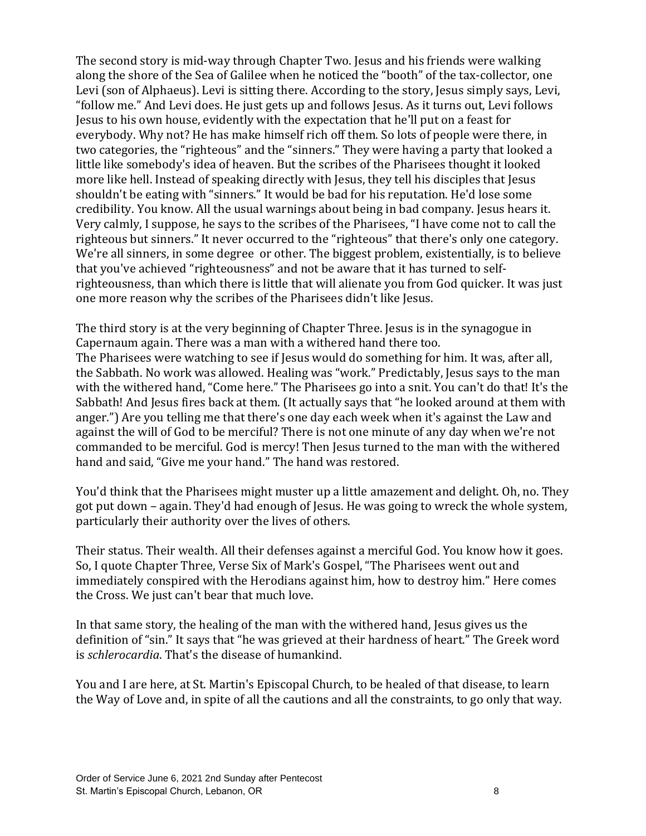The second story is mid-way through Chapter Two. Jesus and his friends were walking along the shore of the Sea of Galilee when he noticed the "booth" of the tax-collector, one Levi (son of Alphaeus). Levi is sitting there. According to the story, Jesus simply says, Levi, "follow me." And Levi does. He just gets up and follows Jesus. As it turns out, Levi follows Jesus to his own house, evidently with the expectation that he'll put on a feast for everybody. Why not? He has make himself rich off them. So lots of people were there, in two categories, the "righteous" and the "sinners." They were having a party that looked a little like somebody's idea of heaven. But the scribes of the Pharisees thought it looked more like hell. Instead of speaking directly with Jesus, they tell his disciples that Jesus shouldn't be eating with "sinners." It would be bad for his reputation. He'd lose some credibility. You know. All the usual warnings about being in bad company. Jesus hears it. Very calmly, I suppose, he says to the scribes of the Pharisees, "I have come not to call the righteous but sinners." It never occurred to the "righteous" that there's only one category. We're all sinners, in some degree or other. The biggest problem, existentially, is to believe that you've achieved "righteousness" and not be aware that it has turned to selfrighteousness, than which there is little that will alienate you from God quicker. It was just one more reason why the scribes of the Pharisees didn't like Jesus.

The third story is at the very beginning of Chapter Three. Jesus is in the synagogue in Capernaum again. There was a man with a withered hand there too. The Pharisees were watching to see if Jesus would do something for him. It was, after all, the Sabbath. No work was allowed. Healing was "work." Predictably, Jesus says to the man with the withered hand, "Come here." The Pharisees go into a snit. You can't do that! It's the Sabbath! And Jesus fires back at them. (It actually says that "he looked around at them with anger.") Are you telling me that there's one day each week when it's against the Law and against the will of God to be merciful? There is not one minute of any day when we're not commanded to be merciful. God is mercy! Then Jesus turned to the man with the withered hand and said, "Give me your hand." The hand was restored.

You'd think that the Pharisees might muster up a little amazement and delight. Oh, no. They got put down – again. They'd had enough of Jesus. He was going to wreck the whole system, particularly their authority over the lives of others.

Their status. Their wealth. All their defenses against a merciful God. You know how it goes. So, I quote Chapter Three, Verse Six of Mark's Gospel, "The Pharisees went out and immediately conspired with the Herodians against him, how to destroy him." Here comes the Cross. We just can't bear that much love.

In that same story, the healing of the man with the withered hand, Jesus gives us the definition of "sin." It says that "he was grieved at their hardness of heart." The Greek word is *schlerocardia*. That's the disease of humankind.

You and I are here, at St. Martin's Episcopal Church, to be healed of that disease, to learn the Way of Love and, in spite of all the cautions and all the constraints, to go only that way.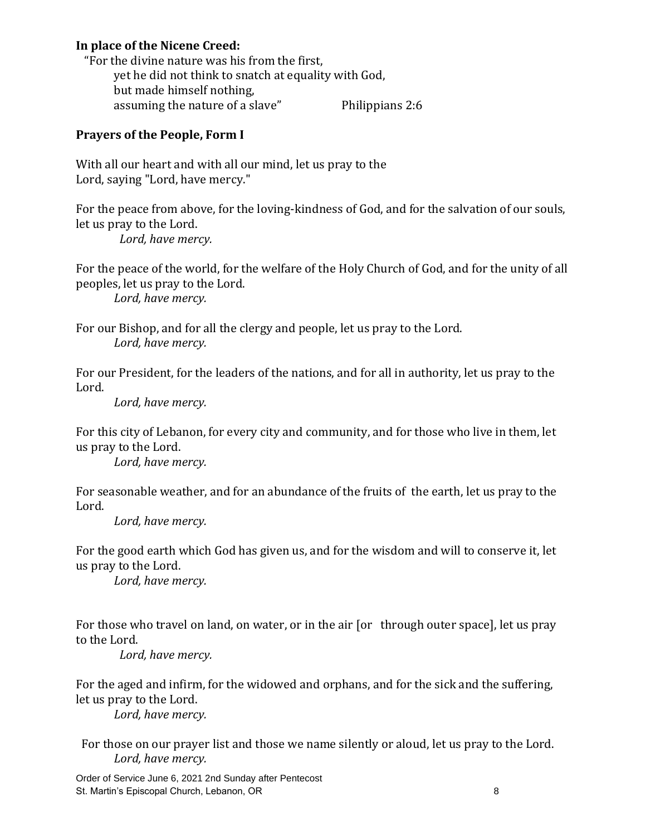## **In place of the Nicene Creed:**

 "For the divine nature was his from the first, yet he did not think to snatch at equality with God, but made himself nothing, assuming the nature of a slave" Philippians 2:6

## **Prayers of the People, Form I**

With all our heart and with all our mind, let us pray to the Lord, saying "Lord, have mercy."

For the peace from above, for the loving-kindness of God, and for the salvation of our souls, let us pray to the Lord.  *Lord, have mercy.*

For the peace of the world, for the welfare of the Holy Church of God, and for the unity of all peoples, let us pray to the Lord.

*Lord, have mercy.*

For our Bishop, and for all the clergy and people, let us pray to the Lord. *Lord, have mercy.*

For our President, for the leaders of the nations, and for all in authority, let us pray to the Lord.

*Lord, have mercy.*

For this city of Lebanon, for every city and community, and for those who live in them, let us pray to the Lord.

*Lord, have mercy.*

For seasonable weather, and for an abundance of the fruits of the earth, let us pray to the Lord.

*Lord, have mercy.*

For the good earth which God has given us, and for the wisdom and will to conserve it, let us pray to the Lord.

*Lord, have mercy.*

For those who travel on land, on water, or in the air [or through outer space], let us pray to the Lord.

*Lord, have mercy.*

For the aged and infirm, for the widowed and orphans, and for the sick and the suffering, let us pray to the Lord.

*Lord, have mercy.*

 For those on our prayer list and those we name silently or aloud, let us pray to the Lord. *Lord, have mercy.*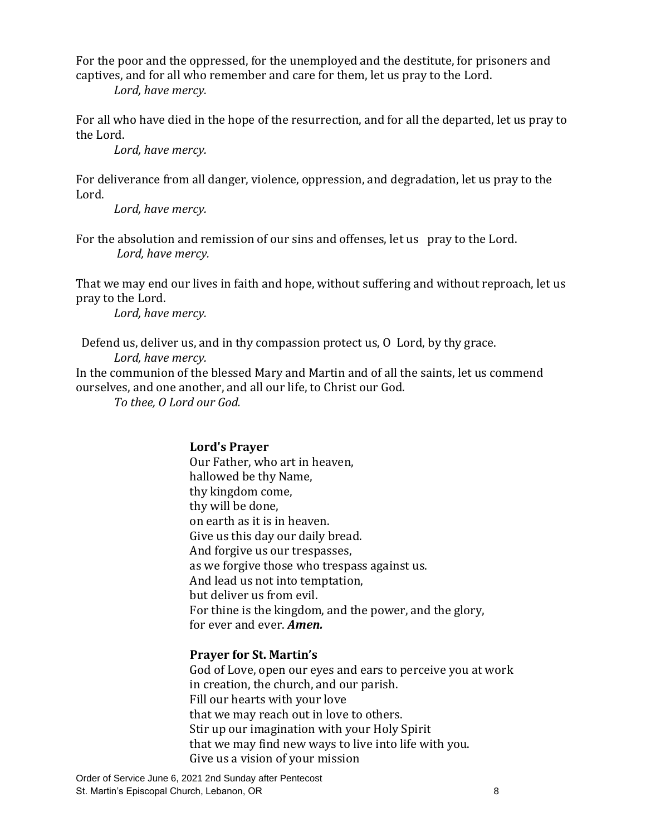For the poor and the oppressed, for the unemployed and the destitute, for prisoners and captives, and for all who remember and care for them, let us pray to the Lord.

*Lord, have mercy.*

For all who have died in the hope of the resurrection, and for all the departed, let us pray to the Lord.

*Lord, have mercy.*

For deliverance from all danger, violence, oppression, and degradation, let us pray to the Lord.

*Lord, have mercy.*

For the absolution and remission of our sins and offenses, let us pray to the Lord. *Lord, have mercy.*

That we may end our lives in faith and hope, without suffering and without reproach, let us pray to the Lord.

*Lord, have mercy.*

 Defend us, deliver us, and in thy compassion protect us, O Lord, by thy grace. *Lord, have mercy.*

In the communion of the blessed Mary and Martin and of all the saints, let us commend ourselves, and one another, and all our life, to Christ our God.

*To thee, O Lord our God.*

## **Lord's Prayer**

Our Father, who art in heaven, hallowed be thy Name, thy kingdom come, thy will be done, on earth as it is in heaven. Give us this day our daily bread. And forgive us our trespasses, as we forgive those who trespass against us. And lead us not into temptation, but deliver us from evil. For thine is the kingdom, and the power, and the glory, for ever and ever. *Amen.*

## **Prayer for St. Martin's**

God of Love, open our eyes and ears to perceive you at work in creation, the church, and our parish. Fill our hearts with your love that we may reach out in love to others. Stir up our imagination with your Holy Spirit that we may find new ways to live into life with you. Give us a vision of your mission